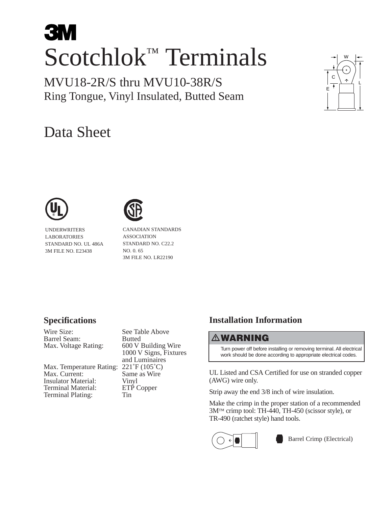# **3M** Scotchlok™ Terminals

MVU18-2R/S thru MVU10-38R/S Ring Tongue, Vinyl Insulated, Butted Seam

## Data Sheet





UNDERWRITERS LABORATORIES STANDARD NO. UL 486A 3M FILE NO. E23438

CANADIAN STANDARDS ASSOCIATION STANDARD NO. C22.2 NO. 0. 65 3M FILE NO. LR22190

#### **Specifications**

Wire Size: See Table Above Max. Voltage Rating:

Max. Temperature Rating: 221°F (105°C)<br>Max. Current: Same as Wire Insulator Material: Vinyl<br>Terminal Material: ETP Copper Terminal Material: Terminal Plating: Tin

Barrel Seam: Butted<br>
Max. Voltage Rating: 600 V Building Wire 1000 V Signs, Fixtures and Luminaires Same as Wire

### **Installation Information**

#### **WARNING**

Turn power off before installing or removing terminal. All electrical work should be done according to appropriate electrical codes.

UL Listed and CSA Certified for use on stranded copper (AWG) wire only.

Strip away the end 3/8 inch of wire insulation.

Make the crimp in the proper station of a recommended 3M™ crimp tool: TH-440, TH-450 (scissor style), or TR-490 (ratchet style) hand tools.



Barrel Crimp (Electrical)

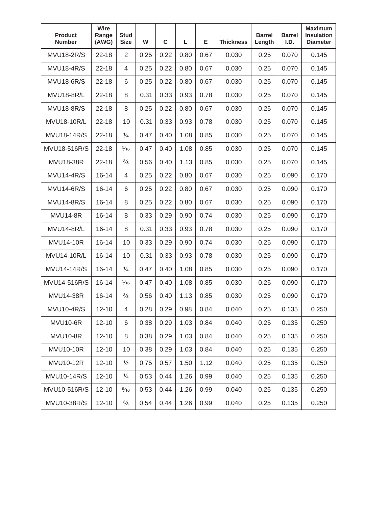| <b>Product</b><br><b>Number</b> | <b>Wire</b><br>Range<br>(AWG) | <b>Stud</b><br><b>Size</b> | W    | $\mathbf C$ | L    | Е    | <b>Thickness</b> | <b>Barrel</b><br>Length | <b>Barrel</b><br>I.D. | <b>Maximum</b><br><b>Insulation</b><br><b>Diameter</b> |
|---------------------------------|-------------------------------|----------------------------|------|-------------|------|------|------------------|-------------------------|-----------------------|--------------------------------------------------------|
| <b>MVU18-2R/S</b>               | $22 - 18$                     | $\overline{2}$             | 0.25 | 0.22        | 0.80 | 0.67 | 0.030            | 0.25                    | 0.070                 | 0.145                                                  |
| <b>MVU18-4R/S</b>               | $22 - 18$                     | 4                          | 0.25 | 0.22        | 0.80 | 0.67 | 0.030            | 0.25                    | 0.070                 | 0.145                                                  |
| <b>MVU18-6R/S</b>               | $22 - 18$                     | 6                          | 0.25 | 0.22        | 0.80 | 0.67 | 0.030            | 0.25                    | 0.070                 | 0.145                                                  |
| <b>MVU18-8R/L</b>               | $22 - 18$                     | 8                          | 0.31 | 0.33        | 0.93 | 0.78 | 0.030            | 0.25                    | 0.070                 | 0.145                                                  |
| <b>MVU18-8R/S</b>               | $22 - 18$                     | 8                          | 0.25 | 0.22        | 0.80 | 0.67 | 0.030            | 0.25                    | 0.070                 | 0.145                                                  |
| <b>MVU18-10R/L</b>              | $22 - 18$                     | 10                         | 0.31 | 0.33        | 0.93 | 0.78 | 0.030            | 0.25                    | 0.070                 | 0.145                                                  |
| <b>MVU18-14R/S</b>              | $22 - 18$                     | $\frac{1}{4}$              | 0.47 | 0.40        | 1.08 | 0.85 | 0.030            | 0.25                    | 0.070                 | 0.145                                                  |
| MVU18-516R/S                    | $22 - 18$                     | $\frac{5}{16}$             | 0.47 | 0.40        | 1.08 | 0.85 | 0.030            | 0.25                    | 0.070                 | 0.145                                                  |
| <b>MVU18-38R</b>                | $22 - 18$                     | $\frac{3}{8}$              | 0.56 | 0.40        | 1.13 | 0.85 | 0.030            | 0.25                    | 0.070                 | 0.145                                                  |
| <b>MVU14-4R/S</b>               | $16 - 14$                     | 4                          | 0.25 | 0.22        | 0.80 | 0.67 | 0.030            | 0.25                    | 0.090                 | 0.170                                                  |
| <b>MVU14-6R/S</b>               | $16 - 14$                     | 6                          | 0.25 | 0.22        | 0.80 | 0.67 | 0.030            | 0.25                    | 0.090                 | 0.170                                                  |
| <b>MVU14-8R/S</b>               | $16 - 14$                     | 8                          | 0.25 | 0.22        | 0.80 | 0.67 | 0.030            | 0.25                    | 0.090                 | 0.170                                                  |
| <b>MVU14-8R</b>                 | $16 - 14$                     | 8                          | 0.33 | 0.29        | 0.90 | 0.74 | 0.030            | 0.25                    | 0.090                 | 0.170                                                  |
| MVU14-8R/L                      | $16 - 14$                     | 8                          | 0.31 | 0.33        | 0.93 | 0.78 | 0.030            | 0.25                    | 0.090                 | 0.170                                                  |
| <b>MVU14-10R</b>                | $16 - 14$                     | 10                         | 0.33 | 0.29        | 0.90 | 0.74 | 0.030            | 0.25                    | 0.090                 | 0.170                                                  |
| <b>MVU14-10R/L</b>              | $16 - 14$                     | 10                         | 0.31 | 0.33        | 0.93 | 0.78 | 0.030            | 0.25                    | 0.090                 | 0.170                                                  |
| <b>MVU14-14R/S</b>              | $16 - 14$                     | $\frac{1}{4}$              | 0.47 | 0.40        | 1.08 | 0.85 | 0.030            | 0.25                    | 0.090                 | 0.170                                                  |
| MVU14-516R/S                    | $16 - 14$                     | $\frac{5}{16}$             | 0.47 | 0.40        | 1.08 | 0.85 | 0.030            | 0.25                    | 0.090                 | 0.170                                                  |
| <b>MVU14-38R</b>                | $16 - 14$                     | $\frac{3}{8}$              | 0.56 | 0.40        | 1.13 | 0.85 | 0.030            | 0.25                    | 0.090                 | 0.170                                                  |
| <b>MVU10-4R/S</b>               | $12 - 10$                     | $\overline{4}$             | 0.28 | 0.29        | 0.98 | 0.84 | 0.040            | 0.25                    | 0.135                 | 0.250                                                  |
| <b>MVU10-6R</b>                 | $12 - 10$                     | 6                          | 0.38 | 0.29        | 1.03 | 0.84 | 0.040            | 0.25                    | 0.135                 | 0.250                                                  |
| <b>MVU10-8R</b>                 | $12 - 10$                     | 8                          | 0.38 | 0.29        | 1.03 | 0.84 | 0.040            | 0.25                    | 0.135                 | 0.250                                                  |
| <b>MVU10-10R</b>                | $12 - 10$                     | 10                         | 0.38 | 0.29        | 1.03 | 0.84 | 0.040            | 0.25                    | 0.135                 | 0.250                                                  |
| <b>MVU10-12R</b>                | $12 - 10$                     | $\frac{1}{2}$              | 0.75 | 0.57        | 1.50 | 1.12 | 0.040            | 0.25                    | 0.135                 | 0.250                                                  |
| MVU10-14R/S                     | $12 - 10$                     | $\frac{1}{4}$              | 0.53 | 0.44        | 1.26 | 0.99 | 0.040            | 0.25                    | 0.135                 | 0.250                                                  |
| MVU10-516R/S                    | $12 - 10$                     | $\frac{5}{16}$             | 0.53 | 0.44        | 1.26 | 0.99 | 0.040            | 0.25                    | 0.135                 | 0.250                                                  |
| MVU10-38R/S                     | $12 - 10$                     | $\frac{3}{8}$              | 0.54 | 0.44        | 1.26 | 0.99 | 0.040            | 0.25                    | 0.135                 | 0.250                                                  |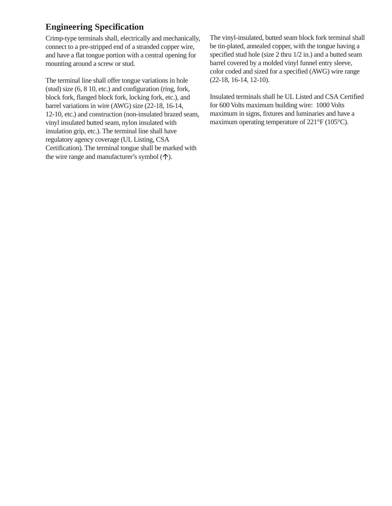#### **Engineering Specification**

Crimp-type terminals shall, electrically and mechanically, connect to a pre-stripped end of a stranded copper wire, and have a flat tongue portion with a central opening for mounting around a screw or stud.

The terminal line shall offer tongue variations in hole (stud) size (6, 8 10, etc.) and configuration (ring, fork, block fork, flanged block fork, locking fork, etc.), and barrel variations in wire (AWG) size (22-18, 16-14, 12-10, etc.) and construction (non-insulated brazed seam, vinyl insulated butted seam, nylon insulated with insulation grip, etc.). The terminal line shall have regulatory agency coverage (UL Listing, CSA Certification). The terminal tongue shall be marked with the wire range and manufacturer's symbol  $(\uparrow)$ .

The vinyl-insulated, butted seam block fork terminal shall be tin-plated, annealed copper, with the tongue having a specified stud hole (size 2 thru 1/2 in.) and a butted seam barrel covered by a molded vinyl funnel entry sleeve, color coded and sized for a specified (AWG) wire range (22-18, 16-14, 12-10).

Insulated terminals shall be UL Listed and CSA Certified for 600 Volts maximum building wire: 1000 Volts maximum in signs, fixtures and luminaries and have a maximum operating temperature of 221°F (105°C).